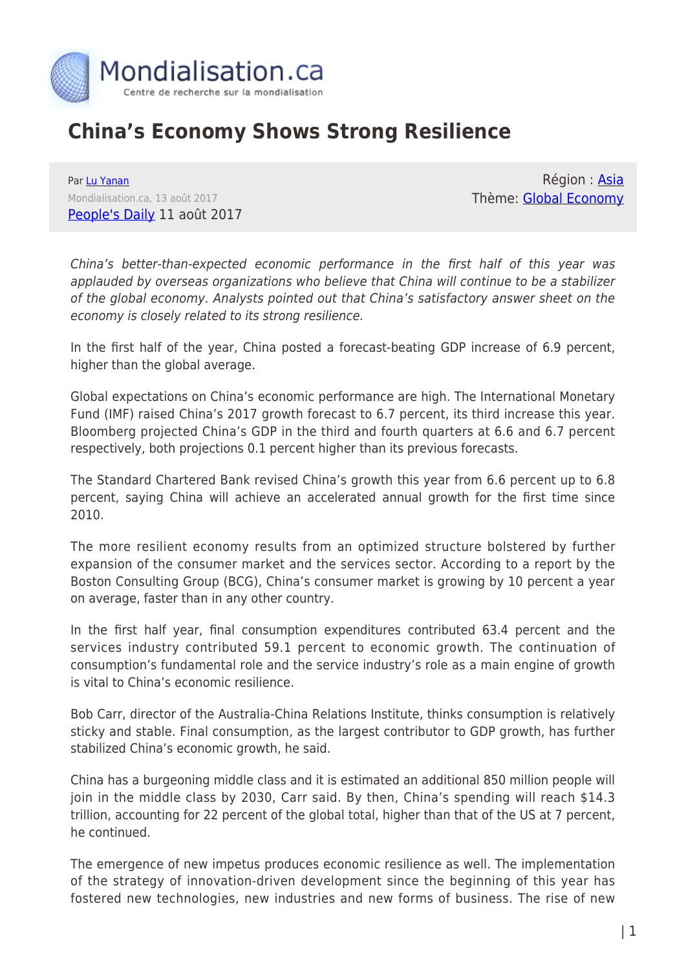

## **China's Economy Shows Strong Resilience**

Par [Lu Yanan](https://www.mondialisation.ca/author/lu-yanan) Mondialisation.ca, 13 août 2017 [People's Daily](http://www.zgdsw.org.cn/n1/2017/0811/c218988-29464947.html) 11 août 2017

Région : [Asia](https://www.mondialisation.ca/region/asia-as) Thème: [Global Economy](https://www.mondialisation.ca/theme/global-economy-as)

China's better-than-expected economic performance in the first half of this year was applauded by overseas organizations who believe that China will continue to be a stabilizer of the global economy. Analysts pointed out that China's satisfactory answer sheet on the economy is closely related to its strong resilience.

In the first half of the year, China posted a forecast-beating GDP increase of 6.9 percent, higher than the global average.

Global expectations on China's economic performance are high. The International Monetary Fund (IMF) raised China's 2017 growth forecast to 6.7 percent, its third increase this year. Bloomberg projected China's GDP in the third and fourth quarters at 6.6 and 6.7 percent respectively, both projections 0.1 percent higher than its previous forecasts.

The Standard Chartered Bank revised China's growth this year from 6.6 percent up to 6.8 percent, saying China will achieve an accelerated annual growth for the first time since 2010.

The more resilient economy results from an optimized structure bolstered by further expansion of the consumer market and the services sector. According to a report by the Boston Consulting Group (BCG), China's consumer market is growing by 10 percent a year on average, faster than in any other country.

In the first half year, final consumption expenditures contributed 63.4 percent and the services industry contributed 59.1 percent to economic growth. The continuation of consumption's fundamental role and the service industry's role as a main engine of growth is vital to China's economic resilience.

Bob Carr, director of the Australia-China Relations Institute, thinks consumption is relatively sticky and stable. Final consumption, as the largest contributor to GDP growth, has further stabilized China's economic growth, he said.

China has a burgeoning middle class and it is estimated an additional 850 million people will join in the middle class by 2030, Carr said. By then, China's spending will reach \$14.3 trillion, accounting for 22 percent of the global total, higher than that of the US at 7 percent, he continued.

The emergence of new impetus produces economic resilience as well. The implementation of the strategy of innovation-driven development since the beginning of this year has fostered new technologies, new industries and new forms of business. The rise of new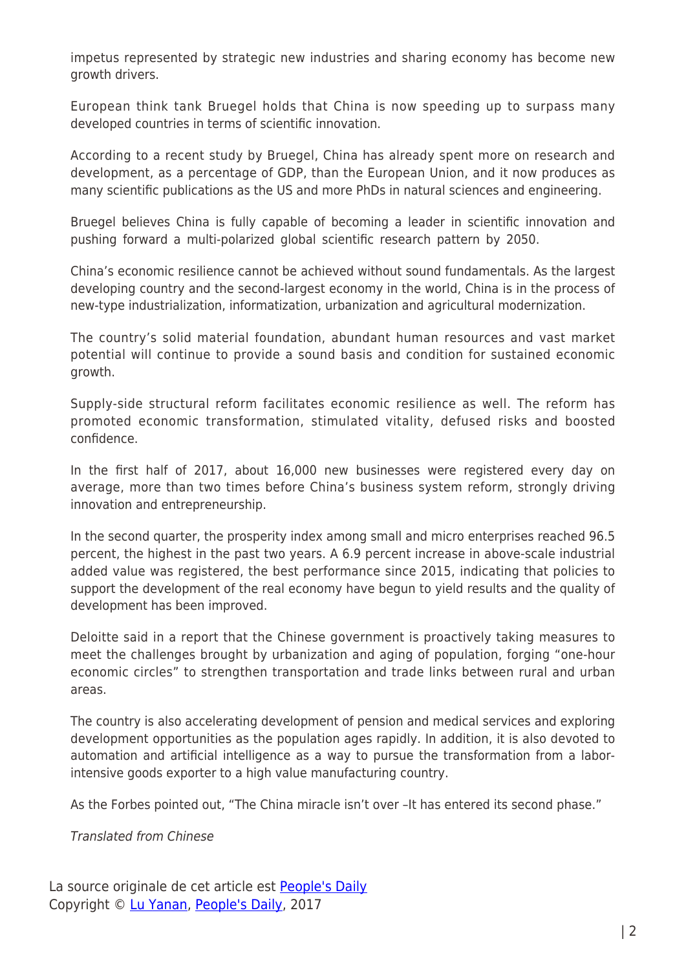impetus represented by strategic new industries and sharing economy has become new growth drivers.

European think tank Bruegel holds that China is now speeding up to surpass many developed countries in terms of scientific innovation.

According to a recent study by Bruegel, China has already spent more on research and development, as a percentage of GDP, than the European Union, and it now produces as many scientific publications as the US and more PhDs in natural sciences and engineering.

Bruegel believes China is fully capable of becoming a leader in scientific innovation and pushing forward a multi-polarized global scientific research pattern by 2050.

China's economic resilience cannot be achieved without sound fundamentals. As the largest developing country and the second-largest economy in the world, China is in the process of new-type industrialization, informatization, urbanization and agricultural modernization.

The country's solid material foundation, abundant human resources and vast market potential will continue to provide a sound basis and condition for sustained economic growth.

Supply-side structural reform facilitates economic resilience as well. The reform has promoted economic transformation, stimulated vitality, defused risks and boosted confidence.

In the first half of 2017, about 16,000 new businesses were registered every day on average, more than two times before China's business system reform, strongly driving innovation and entrepreneurship.

In the second quarter, the prosperity index among small and micro enterprises reached 96.5 percent, the highest in the past two years. A 6.9 percent increase in above-scale industrial added value was registered, the best performance since 2015, indicating that policies to support the development of the real economy have begun to yield results and the quality of development has been improved.

Deloitte said in a report that the Chinese government is proactively taking measures to meet the challenges brought by urbanization and aging of population, forging "one-hour economic circles" to strengthen transportation and trade links between rural and urban areas.

The country is also accelerating development of pension and medical services and exploring development opportunities as the population ages rapidly. In addition, it is also devoted to automation and artificial intelligence as a way to pursue the transformation from a laborintensive goods exporter to a high value manufacturing country.

As the Forbes pointed out, "The China miracle isn't over –It has entered its second phase."

Translated from Chinese

La source originale de cet article est **[People's Daily](http://www.zgdsw.org.cn/n1/2017/0811/c218988-29464947.html)** Copyright © [Lu Yanan,](https://www.mondialisation.ca/author/lu-yanan) [People's Daily](http://www.zgdsw.org.cn/n1/2017/0811/c218988-29464947.html), 2017